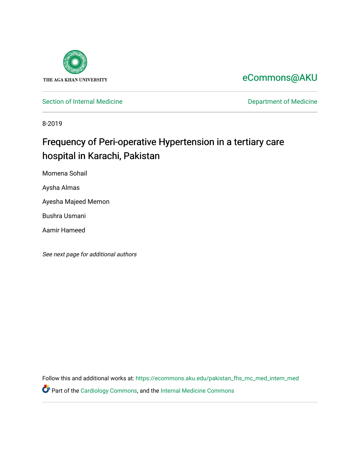

## [eCommons@AKU](https://ecommons.aku.edu/)

[Section of Internal Medicine](https://ecommons.aku.edu/pakistan_fhs_mc_med_intern_med) **Department of Medicine** Department of Medicine

8-2019

# Frequency of Peri-operative Hypertension in a tertiary care hospital in Karachi, Pakistan

Momena Sohail

Aysha Almas

Ayesha Majeed Memon

Bushra Usmani

Aamir Hameed

See next page for additional authors

Follow this and additional works at: [https://ecommons.aku.edu/pakistan\\_fhs\\_mc\\_med\\_intern\\_med](https://ecommons.aku.edu/pakistan_fhs_mc_med_intern_med?utm_source=ecommons.aku.edu%2Fpakistan_fhs_mc_med_intern_med%2F138&utm_medium=PDF&utm_campaign=PDFCoverPages)  Part of the [Cardiology Commons](http://network.bepress.com/hgg/discipline/683?utm_source=ecommons.aku.edu%2Fpakistan_fhs_mc_med_intern_med%2F138&utm_medium=PDF&utm_campaign=PDFCoverPages), and the [Internal Medicine Commons](http://network.bepress.com/hgg/discipline/1356?utm_source=ecommons.aku.edu%2Fpakistan_fhs_mc_med_intern_med%2F138&utm_medium=PDF&utm_campaign=PDFCoverPages)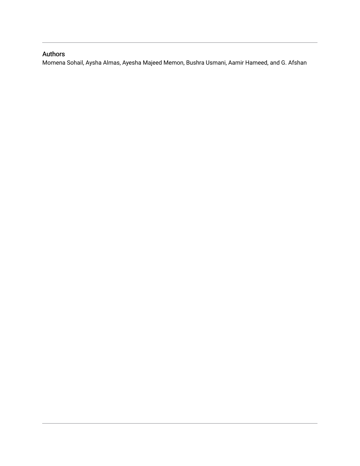### Authors

Momena Sohail, Aysha Almas, Ayesha Majeed Memon, Bushra Usmani, Aamir Hameed, and G. Afshan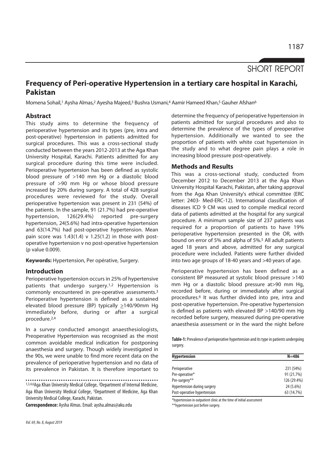## SHORT REPORT

## **Frequency of Peri-operative Hypertension in a tertiary care hospital in Karachi, Pakistan**

Momena Sohail,<sup>1</sup> Aysha Almas,<sup>2</sup> Ayesha Majeed,<sup>3</sup> Bushra Usmani,<sup>4</sup> Aamir Hameed Khan,<sup>5</sup> Gauher Afshan<sup>6</sup>

#### **Abstract**

This study aims to determine the frequency of perioperative hypertension and its types (pre, intra and post-operative) hypertension in patients admitted for surgical procedures. This was a cross-sectional study conducted between the years 2012-2013 at the Aga Khan University Hospital, Karachi. Patients admitted for any surgical procedure during this time were included. Perioperative hypertension has been defined as systolic blood pressure of >140 mm Hg or a diastolic blood pressure of >90 mm Hg or whose blood pressure increased by 20% during surgery. A total of 428 surgical procedures were reviewed for the study. Overall perioperative hypertension was present in 231 (54%) of the patients. In the sample, 91 (21.7%) had pre-operative hypertension, 126(29.4%) reported pre-surgery hypertension, 24(5.6%) had intra-operative hypertension and 63(14.7%) had post-operative hypertension. Mean pain score was  $1.43(1.4)$  v  $1.25(1.2)$  in those with postoperative hypertension v no post-operative hypertension (p value 0.009).

**Keywords:** Hypertension, Per opérative, Surgery.

#### **Introduction**

Perioperative hypertension occurs in 25% of hypertensive patients that undergo surgery.1,2 Hypertension is commonly encountered in pre-operative assessments.3 Perioperative hypertension is defined as a sustained elevated blood pressure (BP) typically  $\geq$ 140/90mm Hg immediately before, during or after a surgical procedure.2,4

In a survey conducted amongst anaesthesiologists, Preoperative Hypertension was recognised as the most common avoidable medical indication for postponing anaesthesia and surgery. Though widely investigated in the 90s, we were unable to find more recent data on the prevalence of perioperative hypertension and no data of its prevalence in Pakistan. It is therefore important to

1,3,4,6Aga Khan University Medical College, 2Department of Internal Medicine, Aga Khan University Medical College, 5Department of Medicine, Aga Khan University Medical College, Karachi, Pakistan.

**Correspondence:** Aysha Almas. Email: aysha.almas@aku.edu

determine the frequency of perioperative hypertension in patients admitted for surgical procedures and also to determine the prevalence of the types of preoperative hypertension. Additionally we wanted to see the proportion of patients with white coat hypertension in the study and to what degree pain plays a role in increasing blood pressure post-operatively.

#### **Methods and Results**

This was a cross-sectional study, conducted from December 2012 to December 2013 at the Aga Khan University Hospital Karachi, Pakistan, after taking approval from the Aga Khan University's ethical committee (ERC letter: 2403- Med-ERC-12). International classification of diseases ICD 9 CM was used to compile medical record data of patients admitted at the hospital for any surgical procedure. A minimum sample size of 237 patients was required for a proportion of patients to have 19% perioperative hypertension presented in the OR, with bound on error of 5% and alpha of 5%.5 All adult patients aged 18 years and above, admitted for any surgical procedure were included. Patients were further divided into two age groups of 18-40 years and >40 years of age.

Perioperative hypertension has been defined as a consistent BP measured at systolic blood pressure >140 mm Hg or a diastolic blood pressure at>90 mm Hg, recorded before, during or immediately after surgical procedures.6 It was further divided into pre, intra and post-operative hypertension. Pre-operative hypertension is defined as patients with elevated BP >140/90 mm Hg recorded before surgery, measured during pre-operative anaesthesia assessment or in the ward the night before

**Table-1:** Prevalence of perioperative hypertension and its type in patients undergoing surgery.

| <b>Hypertension</b>         | $N = 486$   |
|-----------------------------|-------------|
|                             |             |
| Perioperative               | 231 (54%)   |
| Pre-operative*              | 91 (21.7%)  |
| Pre-surgery**               | 126 (29.4%) |
| Hypertension during surgery | 24 (5.6%)   |
| Post-operative hypertension | 63 (14.7%)  |

\*hypertension in outpatient clinic at the time of initial assessment

\*\*hypertension just before surgery.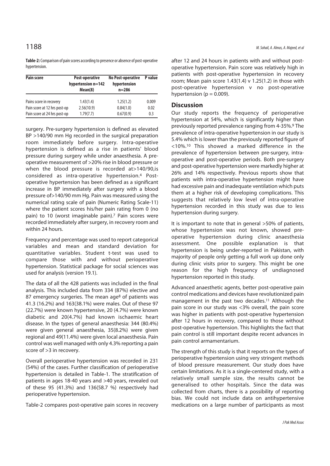**Table-2:** Comparison of pain scores according to presence or absence of post-operative hypertension.

| <b>Pain score</b>            | Post-operative<br>hypertension n=142<br>Mean(8) | <b>No Post-operative</b><br>hypertension<br>$n = 286$ | P value |
|------------------------------|-------------------------------------------------|-------------------------------------------------------|---------|
| Pains score in recovery      | 1.43(1.4)                                       | 1.25(1.2)                                             | 0.009   |
| Pain score at 12 hrs post-op | 2.56(10.9)                                      | 0.84(1.0)                                             | 0.02    |
| Pain score at 24 hrs post-op | 1.79(7.7)                                       | 0.67(0.9)                                             | 0.3     |

surgery. Pre-surgery hypertension is defined as elevated BP >140/90 mm Hg recorded in the surgical preparation room immediately before surgery. Intra-operative hypertension is defined as a rise in patients' blood pressure during surgery while under anaesthesia. A preoperative measurement of >20% rise in blood pressure or when the blood pressure is recorded at>140/90,is considered as intra-operative hypertension.4 Postoperative hypertension has been defined as a significant increase in BP immediately after surgery with a blood pressure of>140/90 mm Hg. Pain was measured using the numerical rating scale of pain (Numeric Rating Scale-11) where the patient scores his/her pain rating from 0 (no pain) to 10 (worst imaginable pain).7 Pain scores were recorded immediately after surgery, in recovery room and within 24 hours.

Frequency and percentage was used to report categorical variables and mean and standard deviation for quantitative variables. Student t-test was used to compare those with and without perioperative hypertension. Statistical package for social sciences was used for analysis (version 19.1).

The data of all the 428 patients was included in the final analysis. This included data from 334 (87%) elective and 87 emergency surgeries. The mean age<sup>8</sup> of patients was 41.3 (16.2%) and 163(38.1%) were males. Out of these 97 (22.7%) were known hypertensive, 20 (4.7%) were known diabetic and 20(4.7%) had known ischaemic heart disease. In the types of general anaesthesia: 344 (80.4%) were given general anaesthesia, 35(8.2%) were given regional and 49(11.4%) were given local anaesthesia. Pain control was well managed with only 4.3% reporting a pain score of >3 in recovery.

Overall perioperative hypertension was recorded in 231 (54%) of the cases. Further classification of perioperative hypertension is detailed in Table-1. The stratification of patients in ages 18-40 years and >40 years, revealed out of these 95 (41.3%) and 136(58.7 %) respectively had perioperative hypertension.

Table-2 compares post-operative pain scores in recovery

after 12 and 24 hours in patients with and without postoperative hypertension. Pain score was relatively high in patients with post-operative hypertension in recovery room; Mean pain score  $1.43(1.4)$  v  $1.25(1.2)$  in those with post-operative hypertension v no post-operative hypertension ( $p = 0.009$ ).

#### **Discussion**

Our study reports the frequency of perioperative hypertension at 54%, which is significantly higher than previously reported prevalence ranging from 4-35%.9 The prevalence of intra-operative hypertension in our study is 5.4% which is lower than the previously reported figure of <10%.10 This showed a marked difference in the prevalence of hypertension between pre-surgery, intraoperative and post-operative periods. Both pre-surgery and post-operative hypertension were markedly higher at 26% and 14% respectively. Previous reports show that patients with intra-operative hypertension might have had excessive pain and inadequate ventilation which puts them at a higher risk of developing complications. This suggests that relatively low level of intra-operative hypertension recorded in this study was due to less hypertension during surgery.

It is important to note that in general >50% of patients, whose hypertension was not known, showed preoperative hypertension during clinic anaesthesia assessment. One possible explanation is that hypertension is being under-reported in Pakistan, with majority of people only getting a full work up done only during clinic visits prior to surgery. This might be one reason for the high frequency of undiagnosed hypertension reported in this study.

Advanced anaesthetic agents, better post-operative pain control medications and devices have revolutionized pain management in the past two decades.<sup>11</sup> Although the pain score in our study was <3% overall, the pain score was higher in patients with post-operative hypertension after 12 hours in recovery, compared to those without post-operative hypertension. This highlights the fact that pain control is still important despite recent advances in pain control armamentarium.

The strength of this study is that it reports on the types of perioperative hypertension using very stringent methods of blood pressure measurement. Our study does have certain limitations. As it is a single-centered study, with a relatively small sample size, the results cannot be generalised to other hospitals. Since the data was collected from charts, there is a possibility of reporting bias. We could not include data on antihypertensive medications on a large number of participants as most